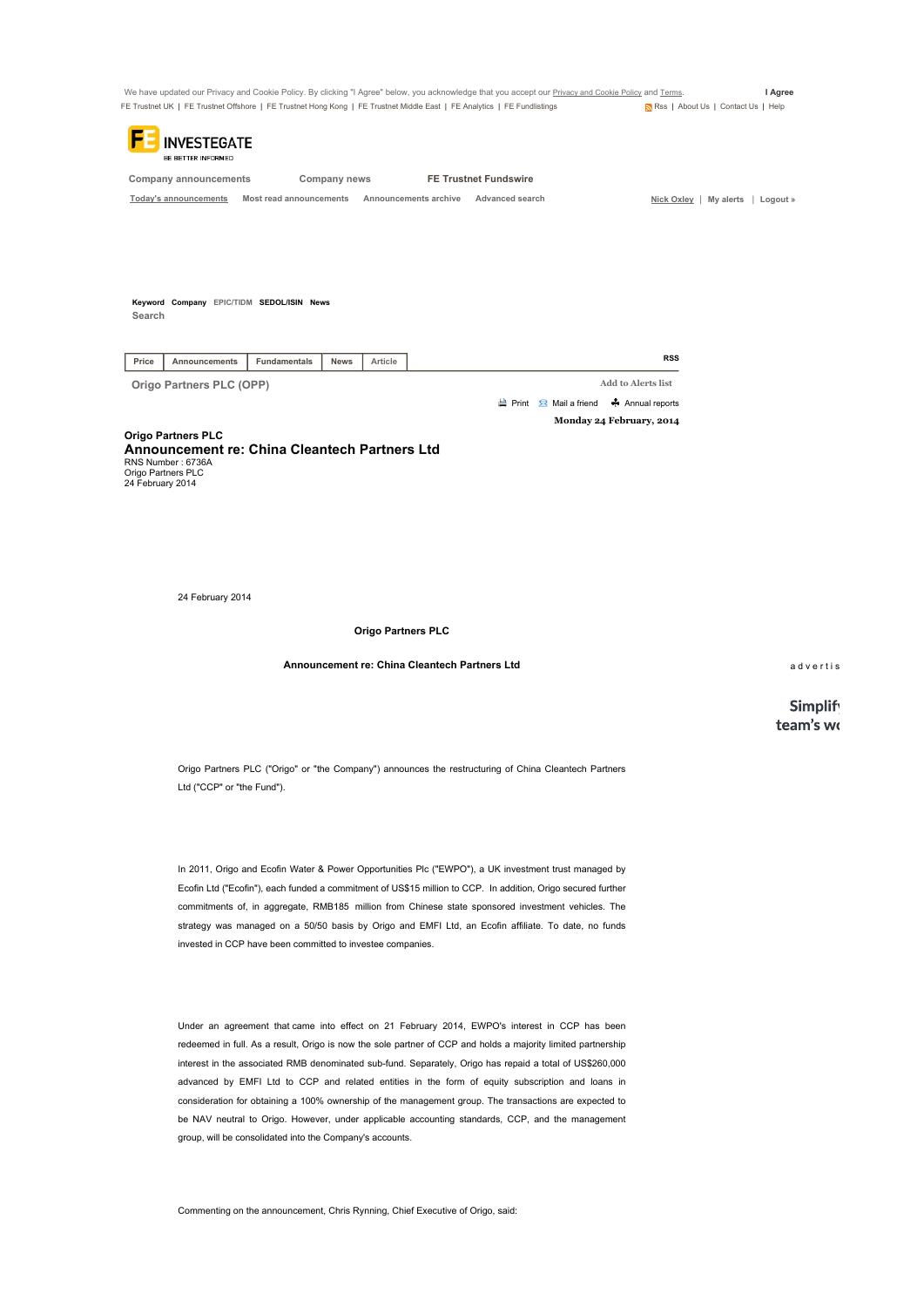|                                                                                                                     |                                                            | We have updated our Privacy and Cookie Policy. By clicking "I Agree" below, you acknowledge that you accept our Privacy and Cookie Policy and Terms.                                                                                                                                                                                                                                                                              |                                    | I Agree                      |
|---------------------------------------------------------------------------------------------------------------------|------------------------------------------------------------|-----------------------------------------------------------------------------------------------------------------------------------------------------------------------------------------------------------------------------------------------------------------------------------------------------------------------------------------------------------------------------------------------------------------------------------|------------------------------------|------------------------------|
|                                                                                                                     |                                                            | FE Trustnet UK   FE Trustnet Offshore   FE Trustnet Hong Kong   FE Trustnet Middle East   FE Analytics   FE Fundlistings                                                                                                                                                                                                                                                                                                          | Rss   About Us   Contact Us   Help |                              |
| <b>NVESTEGATE</b><br>BE BETTER INFORMED                                                                             |                                                            |                                                                                                                                                                                                                                                                                                                                                                                                                                   |                                    |                              |
| <b>Company announcements</b>                                                                                        | Company news                                               | <b>FE Trustnet Fundswire</b>                                                                                                                                                                                                                                                                                                                                                                                                      |                                    |                              |
| <b>Today's announcements</b>                                                                                        | Most read announcements                                    | Announcements archive<br>Advanced search                                                                                                                                                                                                                                                                                                                                                                                          | Nick Oxley   My alerts   Logout »  |                              |
|                                                                                                                     |                                                            |                                                                                                                                                                                                                                                                                                                                                                                                                                   |                                    |                              |
| Keyword Company EPIC/TIDM SEDOL/ISIN News<br>Search                                                                 |                                                            |                                                                                                                                                                                                                                                                                                                                                                                                                                   |                                    |                              |
| Price<br>Announcements                                                                                              | Fundamentals<br><b>News</b><br>Article                     |                                                                                                                                                                                                                                                                                                                                                                                                                                   | <b>RSS</b>                         |                              |
| Origo Partners PLC (OPP)                                                                                            |                                                            |                                                                                                                                                                                                                                                                                                                                                                                                                                   | <b>Add to Alerts list</b>          |                              |
|                                                                                                                     |                                                            | $\Rightarrow$ Print $\quad \blacksquare$ Mail a friend                                                                                                                                                                                                                                                                                                                                                                            | ← Annual reports                   |                              |
|                                                                                                                     |                                                            |                                                                                                                                                                                                                                                                                                                                                                                                                                   | Monday 24 February, 2014           |                              |
| <b>Announcement re: China Cleantech Partners Ltd</b><br>RNS Number: 6736A<br>Origo Partners PLC<br>24 February 2014 |                                                            |                                                                                                                                                                                                                                                                                                                                                                                                                                   |                                    |                              |
| 24 February 2014                                                                                                    |                                                            |                                                                                                                                                                                                                                                                                                                                                                                                                                   |                                    |                              |
|                                                                                                                     | <b>Origo Partners PLC</b>                                  |                                                                                                                                                                                                                                                                                                                                                                                                                                   |                                    |                              |
|                                                                                                                     | Announcement re: China Cleantech Partners Ltd              |                                                                                                                                                                                                                                                                                                                                                                                                                                   |                                    | advertis                     |
|                                                                                                                     |                                                            |                                                                                                                                                                                                                                                                                                                                                                                                                                   |                                    | <b>Simplify</b><br>team's wo |
| Ltd ("CCP" or "the Fund").                                                                                          |                                                            | Origo Partners PLC ("Origo" or "the Company") announces the restructuring of China Cleantech Partners                                                                                                                                                                                                                                                                                                                             |                                    |                              |
|                                                                                                                     | invested in CCP have been committed to investee companies. | In 2011, Origo and Ecofin Water & Power Opportunities Plc ("EWPO"), a UK investment trust managed by<br>Ecofin Ltd ("Ecofin"), each funded a commitment of US\$15 million to CCP. In addition, Origo secured further<br>commitments of, in aggregate, RMB185 million from Chinese state sponsored investment vehicles. The<br>strategy was managed on a 50/50 basis by Origo and EMFI Ltd, an Ecofin affiliate. To date, no funds |                                    |                              |
|                                                                                                                     |                                                            | Under an agreement that came into effect on 21 February 2014, EWPO's interest in CCP has been                                                                                                                                                                                                                                                                                                                                     |                                    |                              |

redeemed in full. As a result, Origo is now the sole partner of CCP and holds a majority limited partnership interest in the associated RMB denominated sub-fund. Separately, Origo has repaid a total of US\$260,000 advanced by EMFI Ltd to CCP and related entities in the form of equity subscription and loans in consideration for obtaining a 100% ownership of the management group. The transactions are expected to be NAV neutral to Origo. However, under applicable accounting standards, CCP, and the management group, will be consolidated into the Company's accounts.

Commenting on the announcement, Chris Rynning, Chief Executive of Origo, said: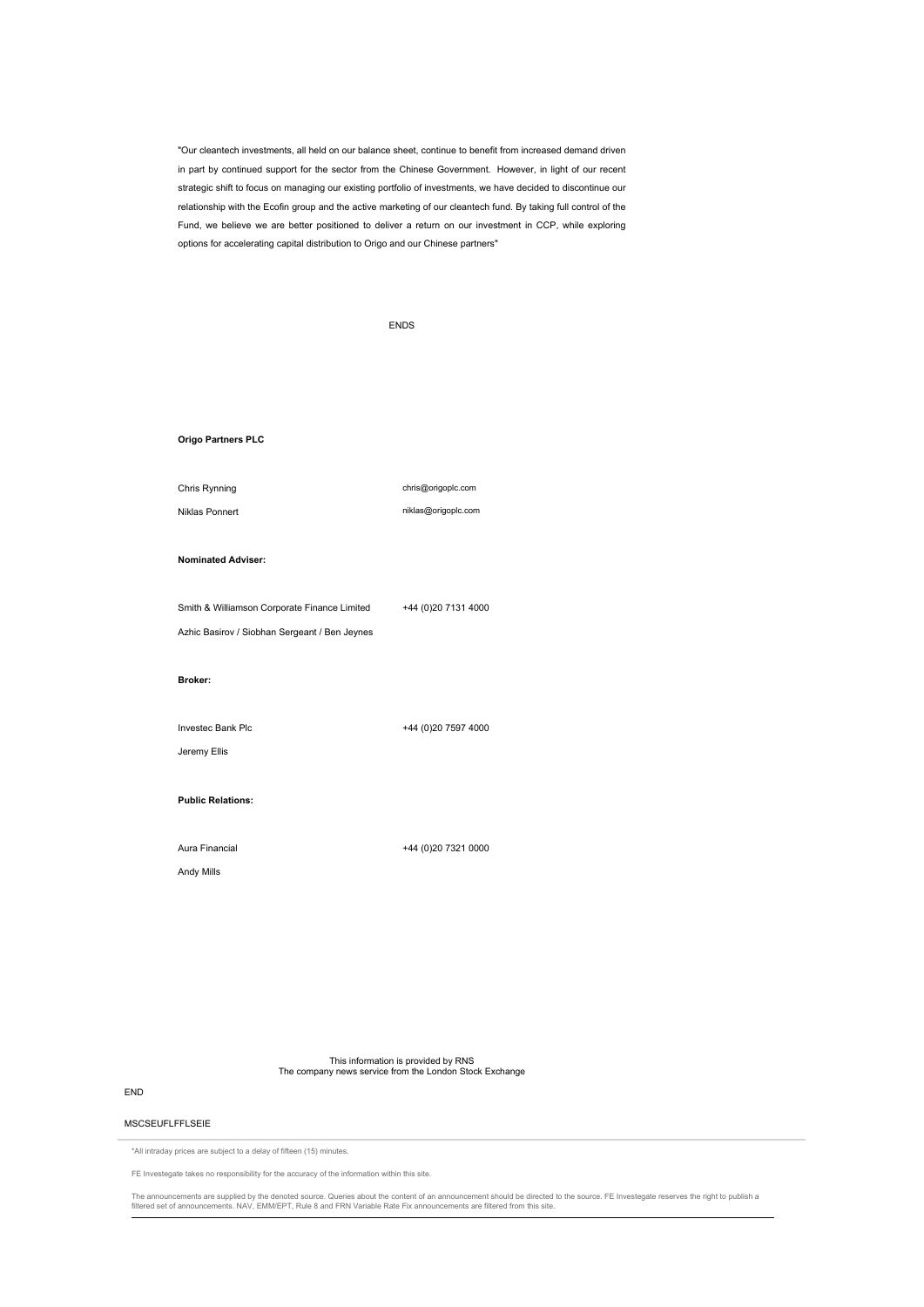"Our cleantech investments, all held on our balance sheet, continue to benefit from increased demand driven in part by continued support for the sector from the Chinese Government. However, in light of our recent strategic shift to focus on managing our existing portfolio of investments, we have decided to discontinue our relationship with the Ecofin group and the active marketing of our cleantech fund. By taking full control of the Fund, we believe we are better positioned to deliver a return on our investment in CCP, while exploring options for accelerating capital distribution to Origo and our Chinese partners"

|                                               | <b>ENDS</b>          |  |  |
|-----------------------------------------------|----------------------|--|--|
|                                               |                      |  |  |
|                                               |                      |  |  |
|                                               |                      |  |  |
| Origo Partners PLC                            |                      |  |  |
| Chris Rynning                                 | chris@origoplc.com   |  |  |
| Niklas Ponnert                                | niklas@origoplc.com  |  |  |
|                                               |                      |  |  |
| <b>Nominated Adviser:</b>                     |                      |  |  |
| Smith & Williamson Corporate Finance Limited  | +44 (0) 20 7131 4000 |  |  |
| Azhic Basirov / Siobhan Sergeant / Ben Jeynes |                      |  |  |
| Broker:                                       |                      |  |  |
|                                               |                      |  |  |
| Investec Bank Plc                             | +44 (0)20 7597 4000  |  |  |
| Jeremy Ellis                                  |                      |  |  |
| <b>Public Relations:</b>                      |                      |  |  |
|                                               |                      |  |  |
| Aura Financial                                | +44 (0)20 7321 0000  |  |  |
| Andy Mills                                    |                      |  |  |
|                                               |                      |  |  |
|                                               |                      |  |  |

This information is provided by RNS The company news service from the London Stock Exchange

## END

## MSCSEUFLFFLSEIE

\*All intraday prices are subject to a delay of fifteen (15) minutes.

FE Investegate takes no responsibility for the accuracy of the information within this site.

The announcements are supplied by the denoted source. Queries about the content of an announcement should be directed to the source. FE Investegate reserves the right to publish a<br>filtered set of announcements. NAV, EMM/EP